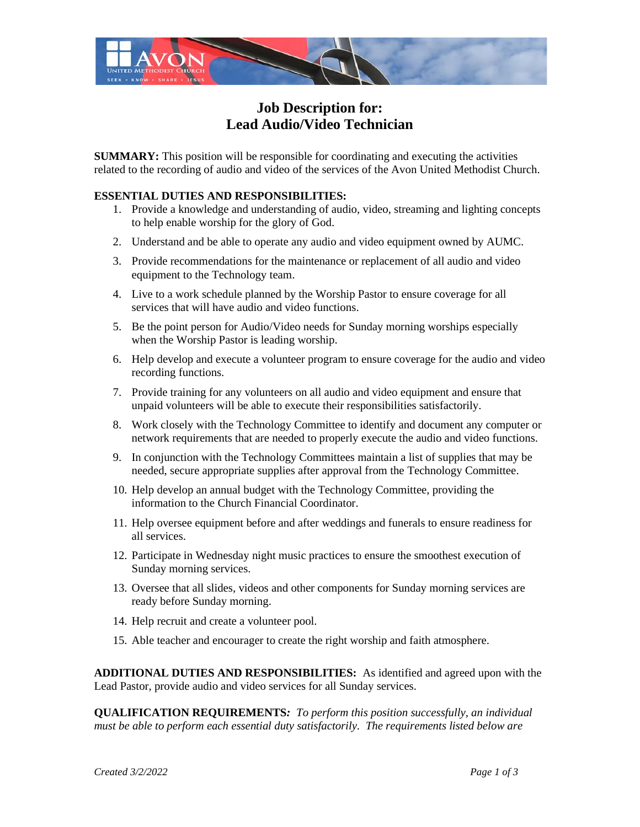

## **Job Description for: Lead Audio/Video Technician**

**SUMMARY:** This position will be responsible for coordinating and executing the activities related to the recording of audio and video of the services of the Avon United Methodist Church.

## **ESSENTIAL DUTIES AND RESPONSIBILITIES:**

- 1. Provide a knowledge and understanding of audio, video, streaming and lighting concepts to help enable worship for the glory of God.
- 2. Understand and be able to operate any audio and video equipment owned by AUMC.
- 3. Provide recommendations for the maintenance or replacement of all audio and video equipment to the Technology team.
- 4. Live to a work schedule planned by the Worship Pastor to ensure coverage for all services that will have audio and video functions.
- 5. Be the point person for Audio/Video needs for Sunday morning worships especially when the Worship Pastor is leading worship.
- 6. Help develop and execute a volunteer program to ensure coverage for the audio and video recording functions.
- 7. Provide training for any volunteers on all audio and video equipment and ensure that unpaid volunteers will be able to execute their responsibilities satisfactorily.
- 8. Work closely with the Technology Committee to identify and document any computer or network requirements that are needed to properly execute the audio and video functions.
- 9. In conjunction with the Technology Committees maintain a list of supplies that may be needed, secure appropriate supplies after approval from the Technology Committee.
- 10. Help develop an annual budget with the Technology Committee, providing the information to the Church Financial Coordinator.
- 11. Help oversee equipment before and after weddings and funerals to ensure readiness for all services.
- 12. Participate in Wednesday night music practices to ensure the smoothest execution of Sunday morning services.
- 13. Oversee that all slides, videos and other components for Sunday morning services are ready before Sunday morning.
- 14. Help recruit and create a volunteer pool.
- 15. Able teacher and encourager to create the right worship and faith atmosphere.

**ADDITIONAL DUTIES AND RESPONSIBILITIES:** As identified and agreed upon with the Lead Pastor, provide audio and video services for all Sunday services.

**QUALIFICATION REQUIREMENTS***: To perform this position successfully, an individual must be able to perform each essential duty satisfactorily. The requirements listed below are*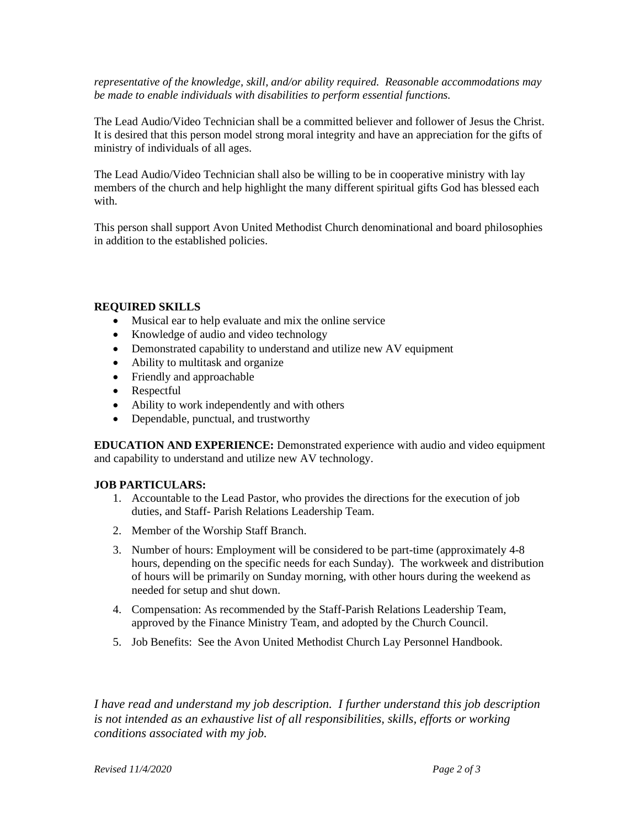*representative of the knowledge, skill, and/or ability required. Reasonable accommodations may be made to enable individuals with disabilities to perform essential functions.*

The Lead Audio/Video Technician shall be a committed believer and follower of Jesus the Christ. It is desired that this person model strong moral integrity and have an appreciation for the gifts of ministry of individuals of all ages.

The Lead Audio/Video Technician shall also be willing to be in cooperative ministry with lay members of the church and help highlight the many different spiritual gifts God has blessed each with.

This person shall support Avon United Methodist Church denominational and board philosophies in addition to the established policies.

## **REQUIRED SKILLS**

- Musical ear to help evaluate and mix the online service
- Knowledge of audio and video technology
- Demonstrated capability to understand and utilize new AV equipment
- Ability to multitask and organize
- Friendly and approachable
- Respectful
- Ability to work independently and with others
- Dependable, punctual, and trustworthy

**EDUCATION AND EXPERIENCE:** Demonstrated experience with audio and video equipment and capability to understand and utilize new AV technology.

## **JOB PARTICULARS:**

- 1. Accountable to the Lead Pastor, who provides the directions for the execution of job duties, and Staff- Parish Relations Leadership Team.
- 2. Member of the Worship Staff Branch.
- 3. Number of hours: Employment will be considered to be part-time (approximately 4-8 hours, depending on the specific needs for each Sunday). The workweek and distribution of hours will be primarily on Sunday morning, with other hours during the weekend as needed for setup and shut down.
- 4. Compensation: As recommended by the Staff-Parish Relations Leadership Team, approved by the Finance Ministry Team, and adopted by the Church Council.
- 5. Job Benefits: See the Avon United Methodist Church Lay Personnel Handbook.

*I have read and understand my job description. I further understand this job description is not intended as an exhaustive list of all responsibilities, skills, efforts or working conditions associated with my job.* 

*Revised 11/4/2020 Page 2 of 3*